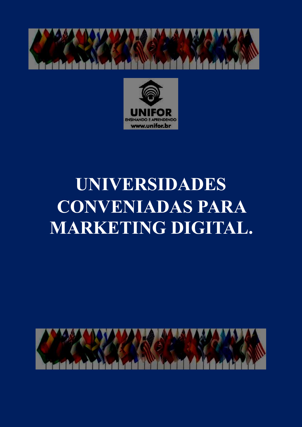



# **UNIVERSIDADES CONVENIADAS PARA MARKETING DIGITAL.**

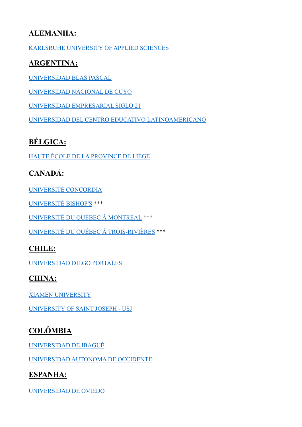#### **ALEMANHA:**

[KARLSRUHE UNIVERSITY OF APPLIED SCIENCES](https://www.h-ka.de/en/kmm-b/profile#c23599)

#### **ARGENTINA:**

[UNIVERSIDAD BLAS PASCAL](https://www.ubp.edu.ar/carreras/marketing/)

[UNIVERSIDAD NACIONAL DE CUYO](https://www.uncuyo.edu.ar/estudios/carrera/tecnicatura-universitaria-en-marketing_9501)

[UNIVERSIDAD EMPRESARIAL SIGLO 21](https://21.edu.ar/grado/licenciatura-en-comercializacion)

[UNIVERSIDAD DEL CENTRO EDUCATIVO LATINOAMERICANO](https://www.ucel.edu.ar/index.php/carreras/facultad-de-ciencias-economicas-y-empresariales/lic-en-comercializacion)

# **BÉLGICA:**

[HAUTE ÉCOLE DE LA PROVINCE DE LIÈGE](https://www.provincedeliege.be/art395)

# **CANADÁ:**

[UNIVERSITÉ CONCORDIA](https://www.concordia.ca/academics/undergraduate/marketing.html)

[UNIVERSITÉ BISHOP'S](https://www.ubishops.ca/academic-programs/williams-school-of-business/courses-and-programs/bba/#bba-marktg) \*\*\*

[UNIVERSITÉ DU QUÉBEC](https://etudier.uqam.ca/programme/baccalaureat-communication-marketinghttps:/uqam.ca/) À MONTRÉAL \*\*\*

[UNIVERSITÉ DU QUÉBEC](https://oraprdnt.uqtr.uquebec.ca/pls/apex/f?p=106:10::::10:P10_CD_PGM,P10_RECH_CRITERE,P10_RECH_VALEUR,P10_RECH_DESC:4206,P2_CYCLE_PGM,1,%5CPremier%20cycle%5C) À TROIS-RIVIÈRES \*\*\*

#### **CHILE:**

[UNIVERSIDAD DIEGO PORTALES](https://admision.udp.cl/carrera/ingenieria-en-administracion-de-empresas-mencion-gestion-de-marketing/)

#### **CHINA:**

[XIAMEN UNIVERSITY](https://sm.xmu.edu.cn/en/PROGRAMS/Undergraduate/Overview.htm)

[UNIVERSITY OF SAINT JOSEPH -](https://www.usj.edu/academics/sasbe/culture-arts-languages/digital-media-communication-ba/) USJ

# **COLÔMBIA**

[UNIVERSIDAD DE IBAGUÉ](https://mercadeo.unibague.edu.co/)

[UNIVERSIDAD AUTONOMA DE OCCIDENTE](https://www.uao.edu.co/programa/mercadeo-y-negocios-internacionales/)

#### **ESPANHA:**

[UNIVERSIDAD DE OVIEDO](https://www.uniovi.es/estudios/grados/-/asset_publisher/X5CYKURHdF1e/content/grado-en-comercio-y-marketing-2014?redirect=%2Festudios%2Fgrados)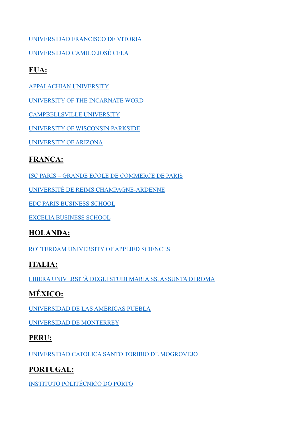[UNIVERSIDAD FRANCISCO DE VITORIA](https://www.ufv.es/estudiar-grado-marketing-madrid/)

[UNIVERSIDAD CAMILO JOSÉ CELA](https://www.ucjc.edu/estudio/grado-en-publicidad-creativa/)

### **EUA:**

[APPALACHIAN UNIVERSITY](https://www.appstate.edu/academics/majors/id/marketing-digital-marketing-bsba)

[UNIVERSITY OF THE INCARNATE WORD](https://www.uiw.edu/hebsba/academics/undergraduate/bachelor-of-business/marketing.html)

[CAMPBELLSVILLE UNIVERSITY](https://www.campbellsville.edu/academics/programs/marketing-campbellsville-university/)

[UNIVERSITY OF WISCONSIN PARKSIDE](https://www.uwp.edu/learn/programs/marketingmajor.cfm)

[UNIVERSITY OF ARIZONA](https://eller.arizona.edu/departments-research/schools-departments/marketing/programs/undergraduate)

## **FRANÇA:**

ISC PARIS – [GRANDE ECOLE DE COMMERCE DE PARIS](https://iscparis.com/en/bachelor-programs/)

[UNIVERSITÉ DE REIMS CHAMPAGNE-ARDENNE](https://www.univ-reims.fr/formation/catalogue-de-formation/master-marketing-vente,23515,38949.html?args=R9qFsCnMmKDtxCa17YTDkHVqaqbfYRXwwTnCVt2witCDUIiVoUdkeMDp%2AXGEGm2SMIhvMbuZ3_kOrRxvJlk6dOorIryuNioRCyFFyPAvhl9tCdwYdtHRrwAvNC1tDg_H&formation_id=161)

[EDC PARIS BUSINESS SCHOOL](https://www.edcparis.edu/en/programs/master-science-msc-digital-marketing)

[EXCELIA BUSINESS SCHOOL](https://www.excelia-group.fr/nos-formations/excelia-business-school/les-formations-masters-science-msc-excelia-business-school?master=416)

#### **HOLANDA:**

[ROTTERDAM UNIVERSITY OF APPLIED SCIENCES](https://www.rotterdamuas.com/programmes/)

## **ITALIA:**

[LIBERA UNIVERSITÀ DEGLI STUDI MARIA SS. ASSUNTA DI ROMA](https://www.lumsa.it/didattica/corsi-di-laurea/roma/magistrale/marketing-digital-communication)

# **MÉXICO:**

[UNIVERSIDAD DE LAS AMÉRICAS PUEBLA](https://www.udlap.mx/web/)

[UNIVERSIDAD DE MONTERREY](https://www.udem.edu.mx/en/business/programs/bachelor-international-marketing)

#### **PERU:**

[UNIVERSIDAD CATOLICA SANTO TORIBIO DE MOGROVEJO](https://udep.edu.pe/comunicacion/carrera/comunicaciones-marketing/)

#### **PORTUGAL:**

[INSTITUTO POLITÉCNICO DO PORTO](https://www.ipp.pt/ensino/cursos/licenciatura/iscap/568)